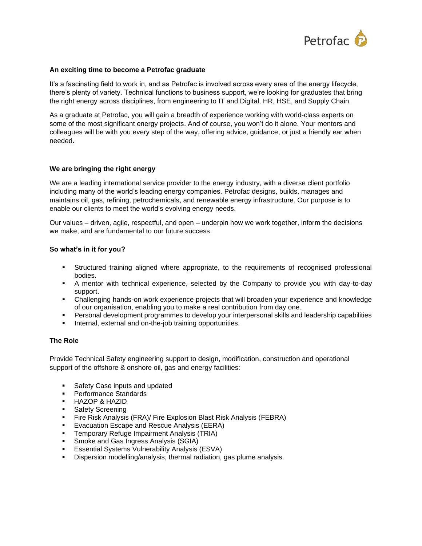

## **An exciting time to become a Petrofac graduate**

It's a fascinating field to work in, and as Petrofac is involved across every area of the energy lifecycle, there's plenty of variety. Technical functions to business support, we're looking for graduates that bring the right energy across disciplines, from engineering to IT and Digital, HR, HSE, and Supply Chain.

As a graduate at Petrofac, you will gain a breadth of experience working with world-class experts on some of the most significant energy projects. And of course, you won't do it alone. Your mentors and colleagues will be with you every step of the way, offering advice, guidance, or just a friendly ear when needed.

### **We are bringing the right energy**

We are a leading international service provider to the energy industry, with a diverse client portfolio including many of the world's leading energy companies. Petrofac designs, builds, manages and maintains oil, gas, refining, petrochemicals, and renewable energy infrastructure. Our purpose is to enable our clients to meet the world's evolving energy needs.

Our values – driven, agile, respectful, and open – underpin how we work together, inform the decisions we make, and are fundamental to our future success.

### **So what's in it for you?**

- Structured training aligned where appropriate, to the requirements of recognised professional bodies.
- A mentor with technical experience, selected by the Company to provide you with day-to-day support.
- Challenging hands-on work experience projects that will broaden your experience and knowledge of our organisation, enabling you to make a real contribution from day one.
- Personal development programmes to develop your interpersonal skills and leadership capabilities
- Internal, external and on-the-job training opportunities.

# **The Role**

Provide Technical Safety engineering support to design, modification, construction and operational support of the offshore & onshore oil, gas and energy facilities:

- Safety Case inputs and updated
- Performance Standards
- HAZOP & HAZID
- Safety Screening
- **EXECT:** Fire Risk Analysis (FRA)/ Fire Explosion Blast Risk Analysis (FEBRA)
- Evacuation Escape and Rescue Analysis (EERA)
- Temporary Refuge Impairment Analysis (TRIA)
- **Smoke and Gas Ingress Analysis (SGIA)**
- **E** Essential Systems Vulnerability Analysis (ESVA)
- **EXECT** Dispersion modelling/analysis, thermal radiation, gas plume analysis.